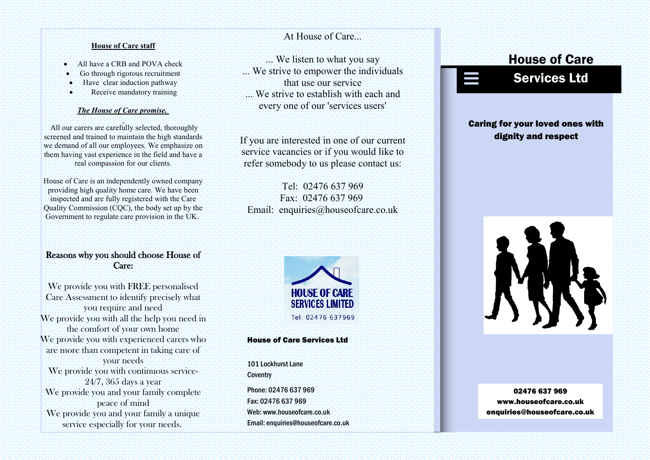### **House of Care staff**

- All have a CRB and POVA check
- Go through rigorous recruitment
- **Have clear induction pathway**
- Receive mandatory training

### *The House of Care promise.*

All our carers are carefully selected, thoroughly screened and trained to maintain the high standards we demand of all our employees. We emphasize on them having vast experience in the field and have a real compassion for our clients.

House of Care is an independently owned company providing high quality home care. We have been inspected and are fully registered with the Care Quality Commission (CQC), the body set up by the Government to regulate care provision in the UK.

# Reasons why you should choose House of Care:

We provide you with FREE personalised Care Assessment to identify precisely what you require and need We provide you with all the help you need in the comfort of your own home We provide you with experienced carers who are more than competent in taking care of your needs We provide you with continuous service-24/7, 365 days a year We provide you and your family complete peace of mind We provide you and your family a unique service especially for your needs.

At House of Care...

... We listen to what you say ... We strive to empower the individuals that use our service

We strive to establish with each and every one of our 'services users'

If you are interested in one of our current service vacancies or if you would like to refer somebody to us please contact us:

Tel: 02476 637 969 Fax: 02476 637 969 Email: enquiries@houseofcare.co.uk



### House of Care Services Ltd

Phone: 02476 637 969 Fax: 02476 637 969 Web: www.houseofcare.co.uk Email: enquiries@houseofcare.co.uk 101 Lockhurst Lane **Coventry** 

# Caring for your loved ones with dignity and respect

House of Care

Services Ltd

### 02476 637 969 www.houseofcare.co.uk enquiries@houseofcare.co.uk